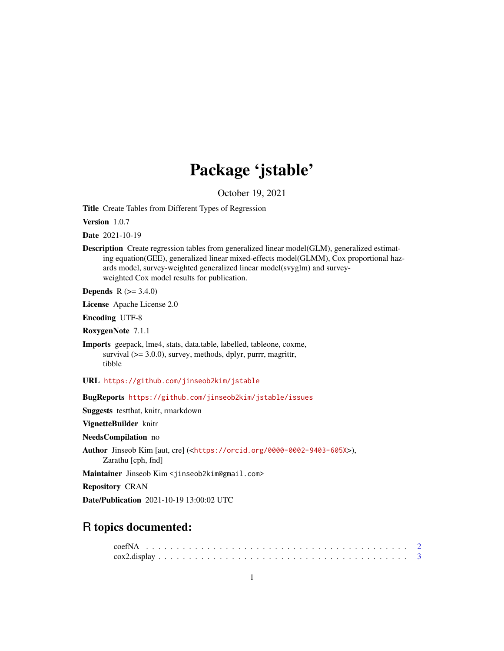# Package 'jstable'

October 19, 2021

<span id="page-0-0"></span>Title Create Tables from Different Types of Regression

Version 1.0.7

Date 2021-10-19

Description Create regression tables from generalized linear model(GLM), generalized estimating equation(GEE), generalized linear mixed-effects model(GLMM), Cox proportional hazards model, survey-weighted generalized linear model(svyglm) and surveyweighted Cox model results for publication.

**Depends** R  $(>= 3.4.0)$ 

License Apache License 2.0

Encoding UTF-8

RoxygenNote 7.1.1

Imports geepack, lme4, stats, data.table, labelled, tableone, coxme, survival (>= 3.0.0), survey, methods, dplyr, purrr, magrittr, tibble

URL <https://github.com/jinseob2kim/jstable>

BugReports <https://github.com/jinseob2kim/jstable/issues>

Suggests testthat, knitr, rmarkdown

VignetteBuilder knitr

NeedsCompilation no

```
Author Jinseob Kim [aut, cre] (<https://orcid.org/0000-0002-9403-605X>),
```
Zarathu [cph, fnd]

Maintainer Jinseob Kim <jinseob2kim@gmail.com>

Repository CRAN

Date/Publication 2021-10-19 13:00:02 UTC

# R topics documented: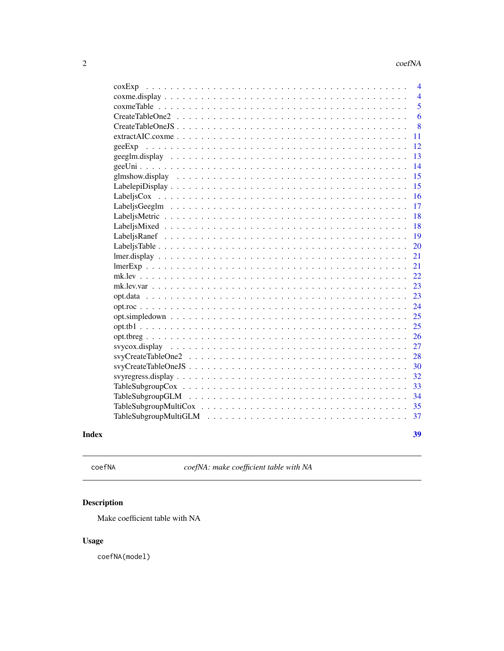<span id="page-1-0"></span>

| $\cos Exp$                                                                             | 4              |
|----------------------------------------------------------------------------------------|----------------|
|                                                                                        | $\overline{4}$ |
|                                                                                        | 5              |
|                                                                                        | 6              |
|                                                                                        | 8              |
|                                                                                        | 11             |
| geeExp                                                                                 | 12             |
| $geeglm.display \ldots \ldots \ldots \ldots \ldots \ldots \ldots \ldots \ldots \ldots$ | 13             |
|                                                                                        | 14             |
|                                                                                        | 15             |
|                                                                                        | 15             |
|                                                                                        | 16             |
|                                                                                        | 17             |
|                                                                                        | 18             |
|                                                                                        | 18             |
|                                                                                        | 19             |
|                                                                                        | 20             |
|                                                                                        | 21             |
|                                                                                        | 21             |
|                                                                                        | 22             |
| $mk.lev.var \dots$                                                                     | 23             |
|                                                                                        | 23             |
|                                                                                        | 24             |
|                                                                                        | 25             |
|                                                                                        | 25             |
|                                                                                        | 26             |
|                                                                                        | 27             |
|                                                                                        | 28             |
|                                                                                        | 30             |
|                                                                                        | 32             |
|                                                                                        | 33             |
|                                                                                        | 34             |
|                                                                                        | 35             |
|                                                                                        | 37             |
|                                                                                        |                |
|                                                                                        | 39             |
|                                                                                        |                |

# **Index**

```
coefNA
```
coefNA: make coefficient table with NA

# Description

Make coefficient table with NA

# **Usage**

coefNA(model)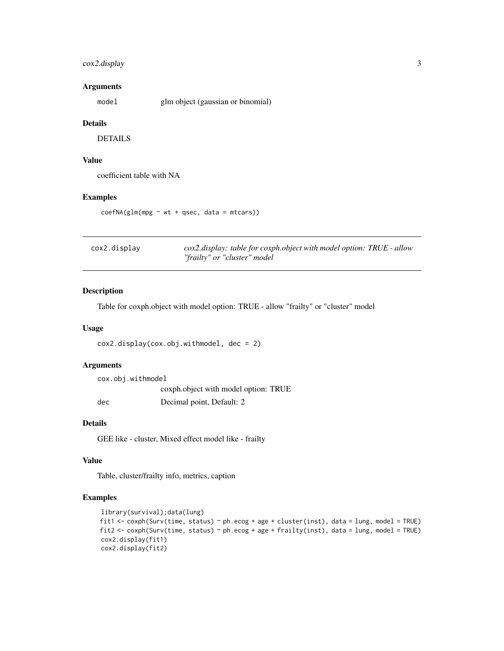## <span id="page-2-0"></span>cox2.display 3

## Arguments

model glm object (gaussian or binomial)

#### Details

DETAILS

## Value

coefficient table with NA

## Examples

coefNA(glm(mpg ~ wt + qsec, data = mtcars))

| cox2.display | cox2.display: table for coxph.object with model option: TRUE - allow |
|--------------|----------------------------------------------------------------------|
|              | "frailty" or "cluster" model                                         |

## Description

Table for coxph.object with model option: TRUE - allow "frailty" or "cluster" model

#### Usage

```
cox2.display(cox.obj.withmodel, dec = 2)
```
## Arguments

| cox.obj.withmodel |                                      |
|-------------------|--------------------------------------|
|                   | coxph.object with model option: TRUE |
| dec               | Decimal point, Default: 2            |

## Details

GEE like - cluster, Mixed effect model like - frailty

#### Value

Table, cluster/frailty info, metrics, caption

```
library(survival);data(lung)
fit1 <- coxph(Surv(time, status) ~ ph.ecog + age + cluster(inst), data = lung, model = TRUE)
fit2 <- coxph(Surv(time, status) ~ ph.ecog + age + frailty(inst), data = lung, model = TRUE)
cox2.display(fit1)
cox2.display(fit2)
```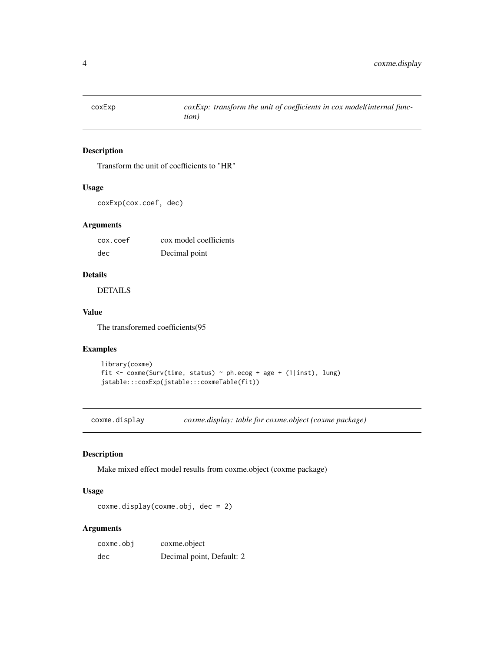<span id="page-3-0"></span>

Transform the unit of coefficients to "HR"

## Usage

```
coxExp(cox.coef, dec)
```
## Arguments

| cox.coef | cox model coefficients |
|----------|------------------------|
| dec      | Decimal point          |

## Details

DETAILS

## Value

The transforemed coefficients(95

#### Examples

```
library(coxme)
fit <- coxme(Surv(time, status) ~ ph.ecog + age + (1|inst), lung)
jstable:::coxExp(jstable:::coxmeTable(fit))
```
coxme.display *coxme.display: table for coxme.object (coxme package)*

## Description

Make mixed effect model results from coxme.object (coxme package)

## Usage

```
coxme.display(coxme.obj, dec = 2)
```
## Arguments

| coxme.obj | coxme.object              |
|-----------|---------------------------|
| dec       | Decimal point, Default: 2 |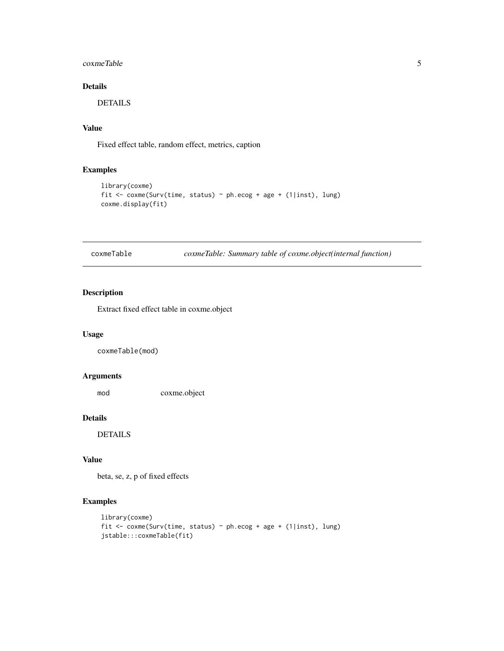# <span id="page-4-0"></span>coxmeTable 5

# Details

DETAILS

## Value

Fixed effect table, random effect, metrics, caption

## Examples

```
library(coxme)
fit <- coxme(Surv(time, status) ~ ph.ecog + age + (1|inst), lung)
coxme.display(fit)
```
coxmeTable *coxmeTable: Summary table of coxme.object(internal function)*

## Description

Extract fixed effect table in coxme.object

## Usage

coxmeTable(mod)

#### Arguments

mod coxme.object

# Details

DETAILS

#### Value

beta, se, z, p of fixed effects

```
library(coxme)
fit \le coxme(Surv(time, status) \sim ph.ecog + age + (1|inst), lung)
jstable:::coxmeTable(fit)
```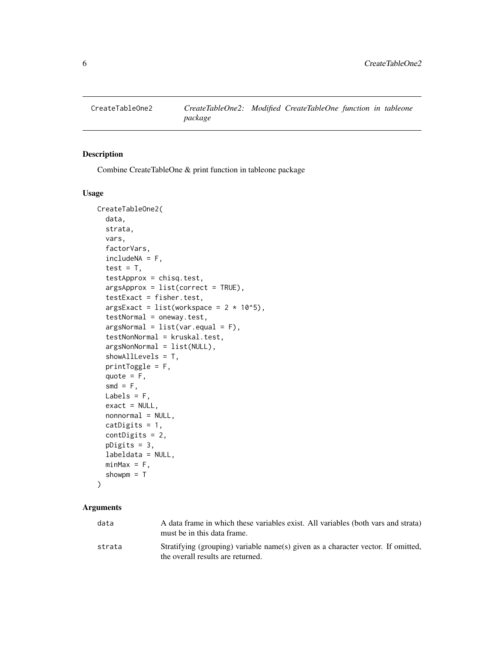<span id="page-5-0"></span>

Combine CreateTableOne & print function in tableone package

## Usage

```
CreateTableOne2(
  data,
  strata,
  vars,
  factorVars,
  includeNA = F,
  test = T,
  testApprox = chisq.test,
  argsApprox = list(correct = TRUE),testExact = fisher.test,
  argsExact = list(wordspace = 2 * 10<sup>0</sup>5),testNormal = oneway.test,
  argsNormal = list(var.equals = F),testNonNormal = kruskal.test,
  argsNonNormal = list(NULL),
  showAllLevels = T,
  printToggle = F,
  quote = F,
  smd = F,
 Labels = F,
  exact = NULL,nonnormal = NULL,
  catDigits = 1,
  contDigits = 2,
 pDigits = 3,
  labeldata = NULL,
 minMax = F,
  showpm = T
```

```
\mathcal{L}
```
## Arguments

| data   | A data frame in which these variables exist. All variables (both vars and strata)<br>must be in this data frame.      |
|--------|-----------------------------------------------------------------------------------------------------------------------|
| strata | Stratifying (grouping) variable name(s) given as a character vector. If omitted,<br>the overall results are returned. |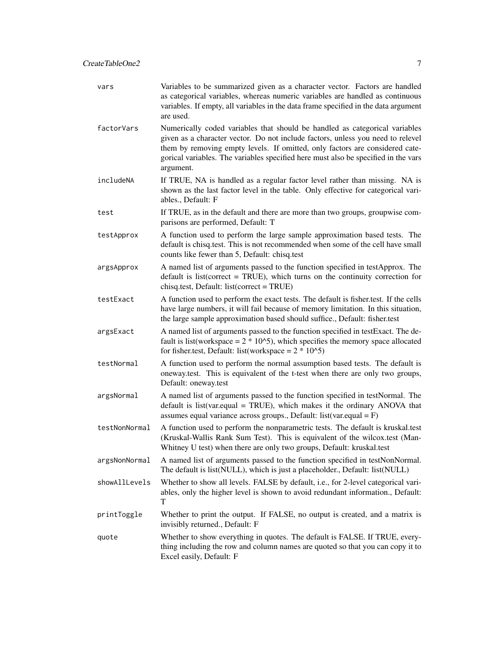| vars          | Variables to be summarized given as a character vector. Factors are handled<br>as categorical variables, whereas numeric variables are handled as continuous<br>variables. If empty, all variables in the data frame specified in the data argument<br>are used.                                                                                  |
|---------------|---------------------------------------------------------------------------------------------------------------------------------------------------------------------------------------------------------------------------------------------------------------------------------------------------------------------------------------------------|
| factorVars    | Numerically coded variables that should be handled as categorical variables<br>given as a character vector. Do not include factors, unless you need to relevel<br>them by removing empty levels. If omitted, only factors are considered cate-<br>gorical variables. The variables specified here must also be specified in the vars<br>argument. |
| includeNA     | If TRUE, NA is handled as a regular factor level rather than missing. NA is<br>shown as the last factor level in the table. Only effective for categorical vari-<br>ables., Default: F                                                                                                                                                            |
| test          | If TRUE, as in the default and there are more than two groups, groupwise com-<br>parisons are performed, Default: T                                                                                                                                                                                                                               |
| testApprox    | A function used to perform the large sample approximation based tests. The<br>default is chisq.test. This is not recommended when some of the cell have small<br>counts like fewer than 5, Default: chisq.test                                                                                                                                    |
| argsApprox    | A named list of arguments passed to the function specified in testApprox. The<br>default is list(correct = TRUE), which turns on the continuity correction for<br>chisq.test, Default: list(correct = TRUE)                                                                                                                                       |
| testExact     | A function used to perform the exact tests. The default is fisher.test. If the cells<br>have large numbers, it will fail because of memory limitation. In this situation,<br>the large sample approximation based should suffice., Default: fisher.test                                                                                           |
| argsExact     | A named list of arguments passed to the function specified in testExact. The de-<br>fault is list(workspace = $2 * 102$ ), which specifies the memory space allocated<br>for fisher.test, Default: list(workspace = $2 * 10^{6}$ )                                                                                                                |
| testNormal    | A function used to perform the normal assumption based tests. The default is<br>oneway.test. This is equivalent of the t-test when there are only two groups,<br>Default: oneway.test                                                                                                                                                             |
| argsNormal    | A named list of arguments passed to the function specified in testNormal. The<br>default is list(var.equal = TRUE), which makes it the ordinary ANOVA that<br>assumes equal variance across groups., Default: $list(var.equal = F)$                                                                                                               |
| testNonNormal | A function used to perform the nonparametric tests. The default is kruskal.test<br>(Kruskal-Wallis Rank Sum Test). This is equivalent of the wilcox.test (Man-<br>Whitney U test) when there are only two groups, Default: kruskal.test                                                                                                           |
| argsNonNormal | A named list of arguments passed to the function specified in testNonNormal.<br>The default is list(NULL), which is just a placeholder., Default: list(NULL)                                                                                                                                                                                      |
| showAllLevels | Whether to show all levels. FALSE by default, i.e., for 2-level categorical vari-<br>ables, only the higher level is shown to avoid redundant information., Default:<br>T                                                                                                                                                                         |
| printToggle   | Whether to print the output. If FALSE, no output is created, and a matrix is<br>invisibly returned., Default: F                                                                                                                                                                                                                                   |
| quote         | Whether to show everything in quotes. The default is FALSE. If TRUE, every-<br>thing including the row and column names are quoted so that you can copy it to<br>Excel easily, Default: F                                                                                                                                                         |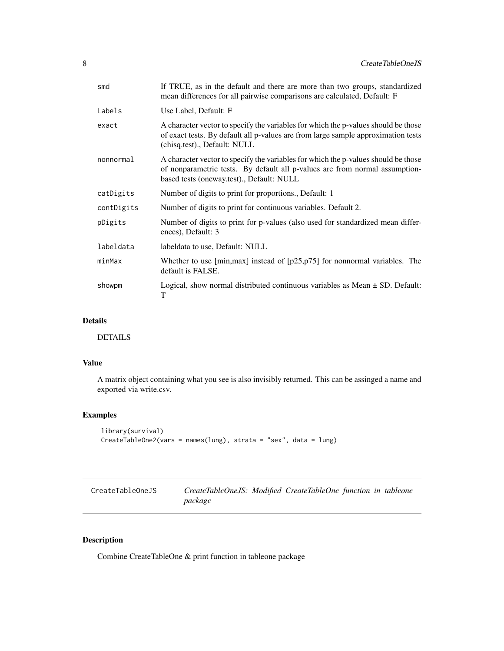<span id="page-7-0"></span>

| smd        | If TRUE, as in the default and there are more than two groups, standardized<br>mean differences for all pairwise comparisons are calculated, Default: F                                                        |
|------------|----------------------------------------------------------------------------------------------------------------------------------------------------------------------------------------------------------------|
| Labels     | Use Label, Default: F                                                                                                                                                                                          |
| exact      | A character vector to specify the variables for which the p-values should be those<br>of exact tests. By default all p-values are from large sample approximation tests<br>(chisq.test)., Default: NULL        |
| nonnormal  | A character vector to specify the variables for which the p-values should be those<br>of nonparametric tests. By default all p-values are from normal assumption-<br>based tests (oneway.test)., Default: NULL |
| catDigits  | Number of digits to print for proportions., Default: 1                                                                                                                                                         |
| contDigits | Number of digits to print for continuous variables. Default 2.                                                                                                                                                 |
| pDigits    | Number of digits to print for p-values (also used for standardized mean differ-<br>ences), Default: 3                                                                                                          |
| labeldata  | labeldata to use, Default: NULL                                                                                                                                                                                |
| minMax     | Whether to use [min, max] instead of $[p25, p75]$ for nonnormal variables. The<br>default is FALSE.                                                                                                            |
| showpm     | Logical, show normal distributed continuous variables as Mean $\pm$ SD. Default:<br>T                                                                                                                          |

## Details

DETAILS

# Value

A matrix object containing what you see is also invisibly returned. This can be assinged a name and exported via write.csv.

## Examples

```
library(survival)
CreateTableOne2(vars = names(lung), strata = "sex", data = lung)
```

| CreateTableOneJS | CreateTableOneJS: Modified CreateTableOne function in tableone |  |  |  |
|------------------|----------------------------------------------------------------|--|--|--|
|                  | package                                                        |  |  |  |

# Description

Combine CreateTableOne & print function in tableone package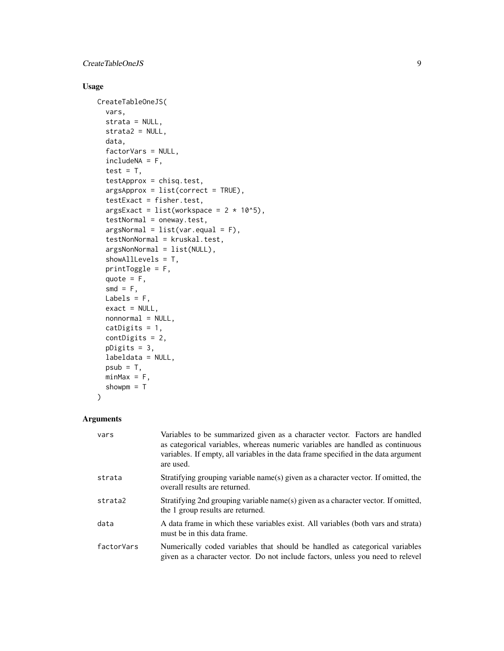## CreateTableOneJS 9

# Usage

```
CreateTableOneJS(
  vars,
  strata = NULL,
  strata2 = NULL,
  data,
  factorVars = NULL,
  includeNA = F,
  test = T,
  testApprox = chisq.test,
  argsApprox = list(correct = TRUE),testExact = fisher.test,
  argsExact = list(wordspace = 2 * 10<sup>0</sup>5),testNormal = oneway.test,
  argsNormal = list(var.equal = F),
  testNonNormal = kruskal.test,
  argsNonNormal = list(NULL),
  showAllLevels = T,
  printToggle = F,
  quote = F,
  smd = F,
 Labels = F,
  exact = NULL,
  nonnormal = NULL,
  catDigits = 1,
  contDigits = 2,
  pDigits = 3,
  labeldata = NULL,
 psub = T,
 minMax = F,
  showpm = T
\mathcal{L}
```
# Arguments

| vars       | Variables to be summarized given as a character vector. Factors are handled<br>as categorical variables, whereas numeric variables are handled as continuous<br>variables. If empty, all variables in the data frame specified in the data argument<br>are used. |
|------------|------------------------------------------------------------------------------------------------------------------------------------------------------------------------------------------------------------------------------------------------------------------|
| strata     | Stratifying grouping variable name(s) given as a character vector. If omitted, the<br>overall results are returned.                                                                                                                                              |
| strata2    | Stratifying 2nd grouping variable name(s) given as a character vector. If omitted,<br>the 1 group results are returned.                                                                                                                                          |
| data       | A data frame in which these variables exist. All variables (both vars and strata)<br>must be in this data frame.                                                                                                                                                 |
| factorVars | Numerically coded variables that should be handled as categorical variables<br>given as a character vector. Do not include factors, unless you need to relevel                                                                                                   |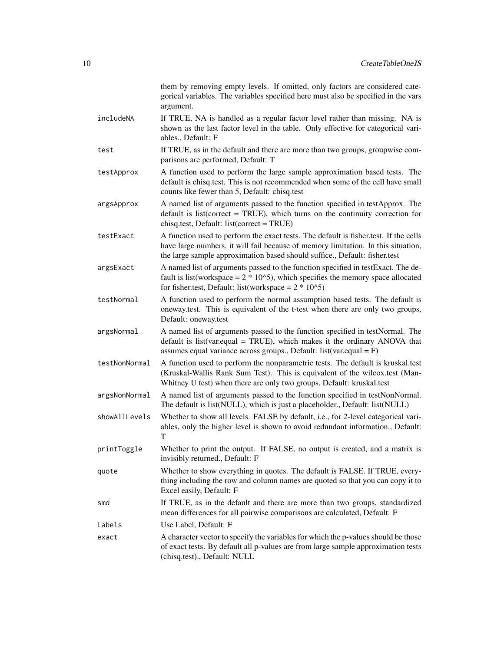|               | them by removing empty levels. If omitted, only factors are considered cate-<br>gorical variables. The variables specified here must also be specified in the vars<br>argument.                                                                         |
|---------------|---------------------------------------------------------------------------------------------------------------------------------------------------------------------------------------------------------------------------------------------------------|
| includeNA     | If TRUE, NA is handled as a regular factor level rather than missing. NA is<br>shown as the last factor level in the table. Only effective for categorical vari-<br>ables., Default: F                                                                  |
| test          | If TRUE, as in the default and there are more than two groups, groupwise com-<br>parisons are performed, Default: T                                                                                                                                     |
| testApprox    | A function used to perform the large sample approximation based tests. The<br>default is chisq.test. This is not recommended when some of the cell have small<br>counts like fewer than 5, Default: chisq.test                                          |
| argsApprox    | A named list of arguments passed to the function specified in testApprox. The<br>default is list(correct = TRUE), which turns on the continuity correction for<br>chisq.test, Default: list(correct = TRUE)                                             |
| testExact     | A function used to perform the exact tests. The default is fisher.test. If the cells<br>have large numbers, it will fail because of memory limitation. In this situation,<br>the large sample approximation based should suffice., Default: fisher.test |
| argsExact     | A named list of arguments passed to the function specified in testExact. The de-<br>fault is list(workspace = $2 * 102$ ), which specifies the memory space allocated<br>for fisher.test, Default: list(workspace = $2 * 10^{6}$ )                      |
| testNormal    | A function used to perform the normal assumption based tests. The default is<br>oneway, test. This is equivalent of the t-test when there are only two groups,<br>Default: oneway.test                                                                  |
| argsNormal    | A named list of arguments passed to the function specified in testNormal. The<br>default is list(var.equal = TRUE), which makes it the ordinary ANOVA that<br>assumes equal variance across groups., Default: $list(var.equal = F)$                     |
| testNonNormal | A function used to perform the nonparametric tests. The default is kruskal.test<br>(Kruskal-Wallis Rank Sum Test). This is equivalent of the wilcox.test (Man-<br>Whitney U test) when there are only two groups, Default: kruskal.test                 |
| argsNonNormal | A named list of arguments passed to the function specified in testNonNormal.<br>The default is list(NULL), which is just a placeholder., Default: list(NULL)                                                                                            |
| showAllLevels | Whether to show all levels. FALSE by default, i.e., for 2-level categorical vari-<br>ables, only the higher level is shown to avoid redundant information., Default:<br>T                                                                               |
| printToggle   | Whether to print the output. If FALSE, no output is created, and a matrix is<br>invisibly returned., Default: F                                                                                                                                         |
| quote         | Whether to show everything in quotes. The default is FALSE. If TRUE, every-<br>thing including the row and column names are quoted so that you can copy it to<br>Excel easily, Default: F                                                               |
| smd           | If TRUE, as in the default and there are more than two groups, standardized<br>mean differences for all pairwise comparisons are calculated, Default: F                                                                                                 |
| Labels        | Use Label, Default: F                                                                                                                                                                                                                                   |
| exact         | A character vector to specify the variables for which the p-values should be those<br>of exact tests. By default all p-values are from large sample approximation tests<br>(chisq.test)., Default: NULL                                                 |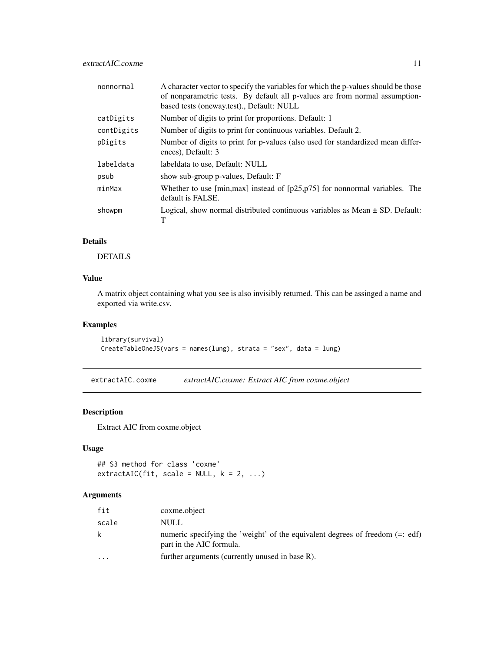<span id="page-10-0"></span>

| nonnormal  | A character vector to specify the variables for which the p-values should be those<br>of nonparametric tests. By default all p-values are from normal assumption-<br>based tests (oneway.test)., Default: NULL |
|------------|----------------------------------------------------------------------------------------------------------------------------------------------------------------------------------------------------------------|
| catDigits  | Number of digits to print for proportions. Default: 1                                                                                                                                                          |
| contDigits | Number of digits to print for continuous variables. Default 2.                                                                                                                                                 |
| pDigits    | Number of digits to print for p-values (also used for standardized mean differ-<br>ences), Default: 3                                                                                                          |
| labeldata  | labeldata to use, Default: NULL                                                                                                                                                                                |
| psub       | show sub-group p-values, Default: F                                                                                                                                                                            |
| minMax     | Whether to use $[\text{min,max}]$ instead of $[p25,p75]$ for nonnormal variables. The<br>default is FALSE.                                                                                                     |
| showpm     | Logical, show normal distributed continuous variables as Mean $\pm$ SD. Default:<br>т                                                                                                                          |

# Details

DETAILS

## Value

A matrix object containing what you see is also invisibly returned. This can be assinged a name and exported via write.csv.

## Examples

```
library(survival)
CreateTableOneJS(vars = names(lung), strata = "sex", data = lung)
```
extractAIC.coxme *extractAIC.coxme: Extract AIC from coxme.object*

## Description

Extract AIC from coxme.object

## Usage

```
## S3 method for class 'coxme'
extractAIC(fit, scale = NULL, k = 2, ...)
```
## Arguments

| fit       | coxme.object                                                                                                |
|-----------|-------------------------------------------------------------------------------------------------------------|
| scale     | NULL                                                                                                        |
| k         | numeric specifying the 'weight' of the equivalent degrees of freedom $(=:$ edf)<br>part in the AIC formula. |
| $\ddotsc$ | further arguments (currently unused in base R).                                                             |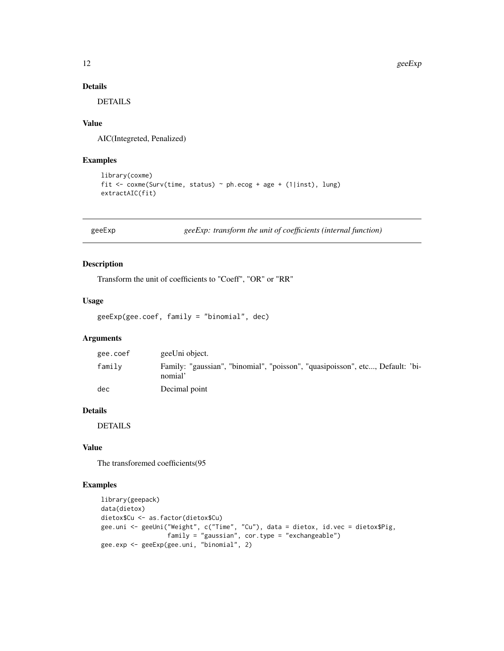## Details

DETAILS

#### Value

AIC(Integreted, Penalized)

#### Examples

```
library(coxme)
fit <- coxme(Surv(time, status) ~ ph.ecog + age + (1|inst), lung)
extractAIC(fit)
```
geeExp *geeExp: transform the unit of coefficients (internal function)*

#### Description

Transform the unit of coefficients to "Coeff", "OR" or "RR"

#### Usage

```
geeExp(gee.coef, family = "binomial", dec)
```
## Arguments

| gee.coef | geeUni object.                                                                           |
|----------|------------------------------------------------------------------------------------------|
| family   | Family: "gaussian", "binomial", "poisson", "quasipoisson", etc, Default: 'bi-<br>nomial' |
| dec      | Decimal point                                                                            |

## Details

DETAILS

# Value

The transforemed coefficients(95

```
library(geepack)
data(dietox)
dietox$Cu <- as.factor(dietox$Cu)
gee.uni <- geeUni("Weight", c("Time", "Cu"), data = dietox, id.vec = dietox$Pig,
                 family = "gaussian", cor.type = "exchangeable")
gee.exp <- geeExp(gee.uni, "binomial", 2)
```
<span id="page-11-0"></span>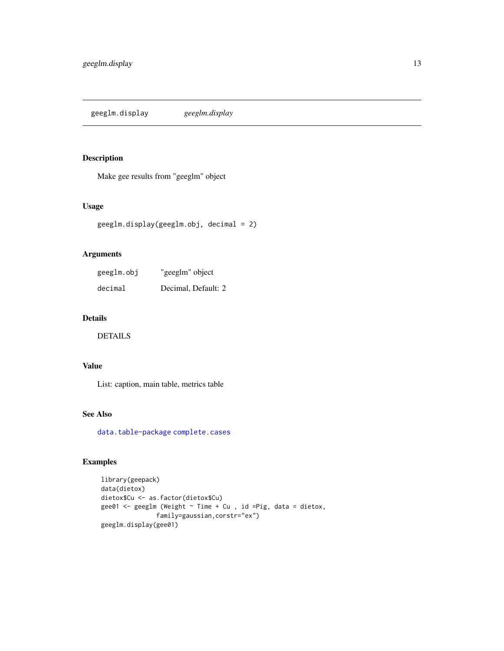<span id="page-12-0"></span>geeglm.display *geeglm.display*

## Description

Make gee results from "geeglm" object

## Usage

```
geeglm.display(geeglm.obj, decimal = 2)
```
## Arguments

| geeglm.obj | "geeglm" object     |
|------------|---------------------|
| decimal    | Decimal, Default: 2 |

## Details

DETAILS

# Value

List: caption, main table, metrics table

# See Also

[data.table-package](#page-0-0) [complete.cases](#page-0-0)

```
library(geepack)
data(dietox)
dietox$Cu <- as.factor(dietox$Cu)
gee01 <- geeglm (Weight ~ Time + Cu , id =Pig, data = dietox,
              family=gaussian,corstr="ex")
geeglm.display(gee01)
```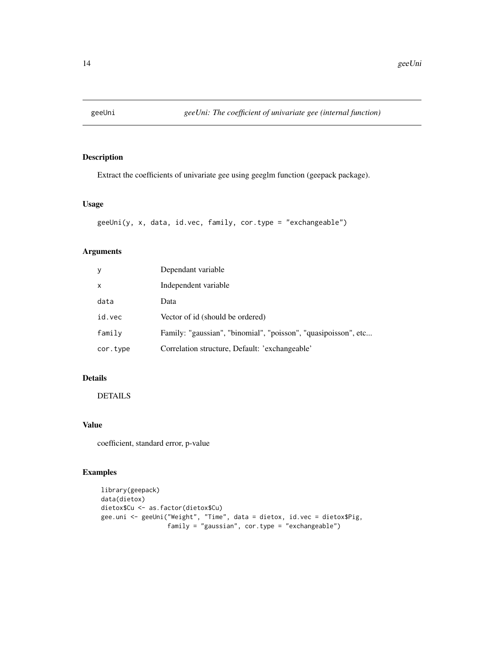<span id="page-13-0"></span>

Extract the coefficients of univariate gee using geeglm function (geepack package).

## Usage

```
geeUni(y, x, data, id.vec, family, cor.type = "exchangeable")
```
## Arguments

| y        | Dependant variable                                             |
|----------|----------------------------------------------------------------|
| x        | Independent variable                                           |
| data     | Data                                                           |
| id.vec   | Vector of id (should be ordered)                               |
| family   | Family: "gaussian", "binomial", "poisson", "quasipoisson", etc |
| cor.type | Correlation structure, Default: 'exchangeable'                 |

## Details

# DETAILS

## Value

coefficient, standard error, p-value

```
library(geepack)
data(dietox)
dietox$Cu <- as.factor(dietox$Cu)
gee.uni <- geeUni("Weight", "Time", data = dietox, id.vec = dietox$Pig,
                 family = "gaussian", cor.type = "exchangeable")
```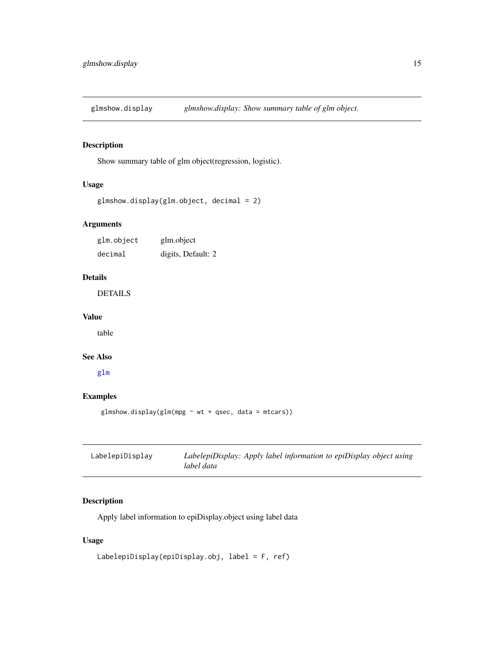<span id="page-14-0"></span>glmshow.display *glmshow.display: Show summary table of glm object.*

## Description

Show summary table of glm object(regression, logistic).

## Usage

```
glmshow.display(glm.object, decimal = 2)
```
## Arguments

| glm.object | glm.object         |
|------------|--------------------|
| decimal    | digits, Default: 2 |

## Details

DETAILS

# Value

table

#### See Also

[glm](#page-0-0)

# Examples

glmshow.display(glm(mpg  $\sim$  wt + qsec, data = mtcars))

| LabelepiDisplay | LabelepiDisplay: Apply label information to epiDisplay object using |
|-----------------|---------------------------------------------------------------------|
|                 | label data                                                          |

## Description

Apply label information to epiDisplay.object using label data

## Usage

```
LabelepiDisplay(epiDisplay.obj, label = F, ref)
```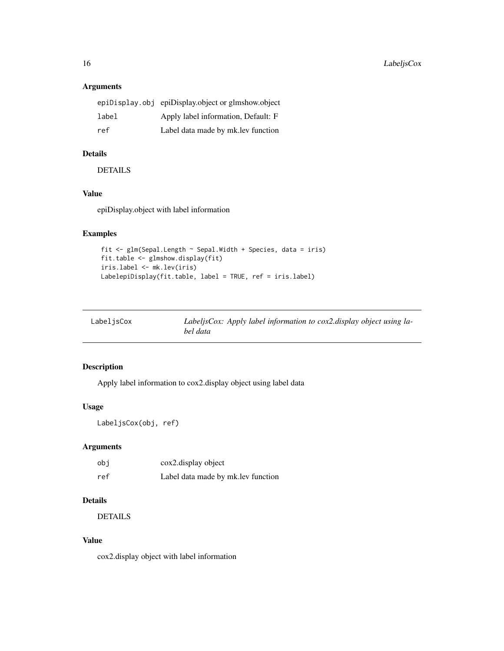## Arguments

|       | epiDisplay.obj epiDisplay.object or glmshow.object |
|-------|----------------------------------------------------|
| label | Apply label information. Default: F                |
| ref   | Label data made by mk. lev function                |

# Details

DETAILS

## Value

epiDisplay.object with label information

# Examples

```
fit \leq glm(Sepal.Length \sim Sepal.Width + Species, data = iris)
fit.table <- glmshow.display(fit)
iris.label <- mk.lev(iris)
LabelepiDisplay(fit.table, label = TRUE, ref = iris.label)
```

| LabeljsCox | LabeljsCox: Apply label information to cox2.display object using la- |
|------------|----------------------------------------------------------------------|
|            | bel data                                                             |

## Description

Apply label information to cox2.display object using label data

# Usage

```
LabeljsCox(obj, ref)
```
## Arguments

| obi | cox2.display object                 |
|-----|-------------------------------------|
| ref | Label data made by mk. lev function |

## Details

DETAILS

#### Value

cox2.display object with label information

<span id="page-15-0"></span>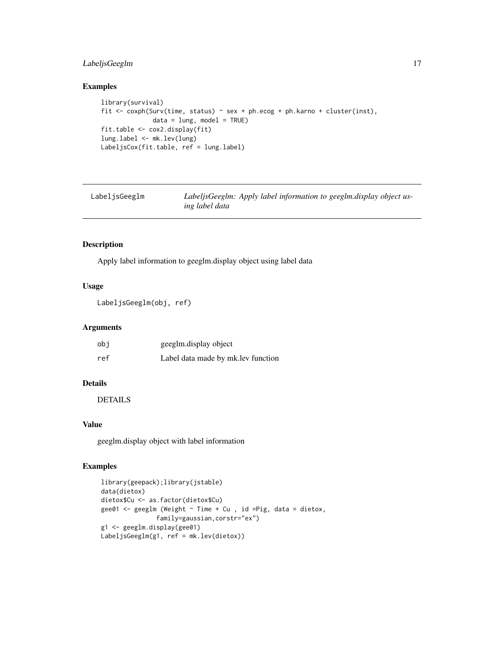## <span id="page-16-0"></span>LabeljsGeeglm 17

## Examples

```
library(survival)
fit <- coxph(Surv(time, status) ~ sex + ph.ecog + ph.karno + cluster(inst),
             data = lung, model = TRUE)
fit.table <- cox2.display(fit)
lung.label <- mk.lev(lung)
LabeljsCox(fit.table, ref = lung.label)
```

| LabelisGeeglm | LabeljsGeeglm: Apply label information to geeglm.display object us- |
|---------------|---------------------------------------------------------------------|
|               | ing label data                                                      |

## Description

Apply label information to geeglm.display object using label data

## Usage

LabeljsGeeglm(obj, ref)

#### Arguments

| obi | geeglm.display object               |
|-----|-------------------------------------|
| ref | Label data made by mk. lev function |

## Details

DETAILS

## Value

geeglm.display object with label information

```
library(geepack);library(jstable)
data(dietox)
dietox$Cu <- as.factor(dietox$Cu)
gee01 <- geeglm (Weight ~ Time + Cu , id =Pig, data = dietox,
              family=gaussian,corstr="ex")
g1 <- geeglm.display(gee01)
LabeljsGeeglm(g1, ref = mk.lev(dietox))
```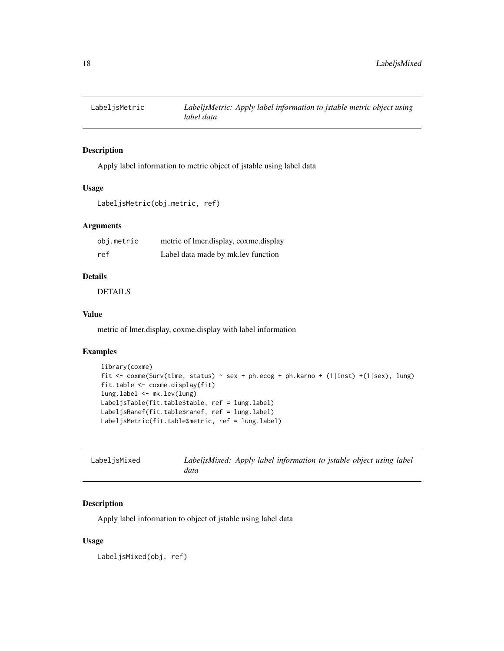<span id="page-17-0"></span>

Apply label information to metric object of jstable using label data

#### Usage

```
LabeljsMetric(obj.metric, ref)
```
## Arguments

| obj.metric | metric of lmer.display, coxme.display |
|------------|---------------------------------------|
| ref        | Label data made by mk. lev function   |

# Details

DETAILS

#### Value

metric of lmer.display, coxme.display with label information

## Examples

```
library(coxme)
fit \le coxme(Surv(time, status) \sim sex + ph.ecog + ph.karno + (1|inst) +(1|sex), lung)
fit.table <- coxme.display(fit)
lung.label <- mk.lev(lung)
LabeljsTable(fit.table$table, ref = lung.label)
LabeljsRanef(fit.table$ranef, ref = lung.label)
LabeljsMetric(fit.table$metric, ref = lung.label)
```

| LabeljsMixed | LabeljsMixed: Apply label information to jstable object using label |  |  |  |  |
|--------------|---------------------------------------------------------------------|--|--|--|--|
|              | data                                                                |  |  |  |  |

## Description

Apply label information to object of jstable using label data

#### Usage

LabeljsMixed(obj, ref)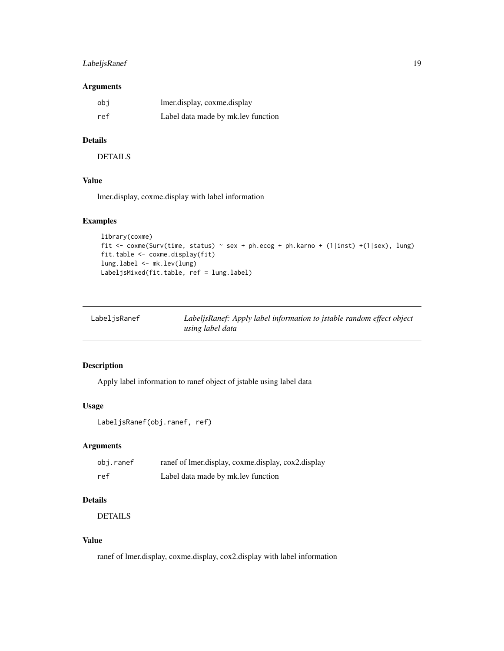## <span id="page-18-0"></span>LabeljsRanef 19

## Arguments

| obi | lmer.display, coxme.display         |
|-----|-------------------------------------|
| ref | Label data made by mk. lev function |

# Details

**DETAILS** 

## Value

lmer.display, coxme.display with label information

## Examples

```
library(coxme)
fit <- coxme(Surv(time, status) ~ sex + ph.ecog + ph.karno + (1|inst) +(1|sex), lung)
fit.table <- coxme.display(fit)
lung.label <- mk.lev(lung)
LabeljsMixed(fit.table, ref = lung.label)
```

| LabeljsRanef | LabeljsRanef: Apply label information to jstable random effect object |
|--------------|-----------------------------------------------------------------------|
|              | using label data                                                      |

## Description

Apply label information to ranef object of jstable using label data

## Usage

LabeljsRanef(obj.ranef, ref)

## Arguments

| obj.ranef | ranef of lmer.display, coxme.display, cox2.display |
|-----------|----------------------------------------------------|
| ref       | Label data made by mk. lev function                |

## Details

DETAILS

## Value

ranef of lmer.display, coxme.display, cox2.display with label information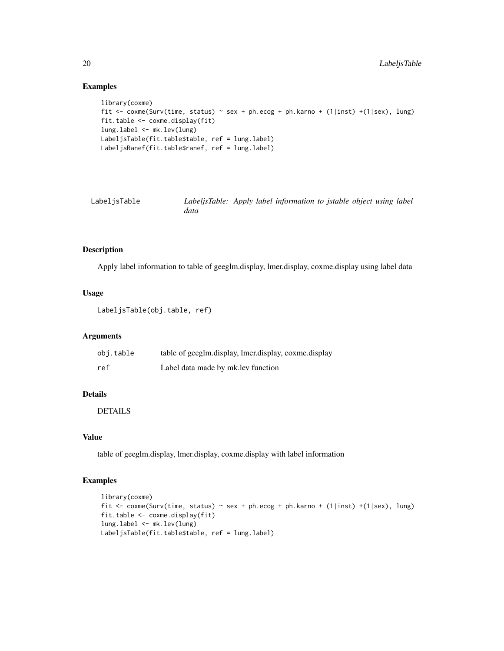## Examples

```
library(coxme)
fit <- coxme(Surv(time, status) ~ sex + ph.ecog + ph.karno + (1|inst) +(1|sex), lung)
fit.table <- coxme.display(fit)
lung.label <- mk.lev(lung)
LabeljsTable(fit.table$table, ref = lung.label)
LabeljsRanef(fit.table$ranef, ref = lung.label)
```

| LabelisTable | LabeljsTable: Apply label information to jstable object using label |  |  |  |  |
|--------------|---------------------------------------------------------------------|--|--|--|--|
|              | data                                                                |  |  |  |  |

## Description

Apply label information to table of geeglm.display, lmer.display, coxme.display using label data

#### Usage

```
LabeljsTable(obj.table, ref)
```
#### Arguments

| obi.table | table of geeglm.display, lmer.display, coxme.display |
|-----------|------------------------------------------------------|
| ref       | Label data made by mk. lev function                  |

## Details

DETAILS

## Value

table of geeglm.display, lmer.display, coxme.display with label information

```
library(coxme)
fit <- coxme(Surv(time, status) ~ sex + ph.ecog + ph.karno + (1|inst) +(1|sex), lung)
fit.table <- coxme.display(fit)
lung.label <- mk.lev(lung)
LabeljsTable(fit.table$table, ref = lung.label)
```
<span id="page-19-0"></span>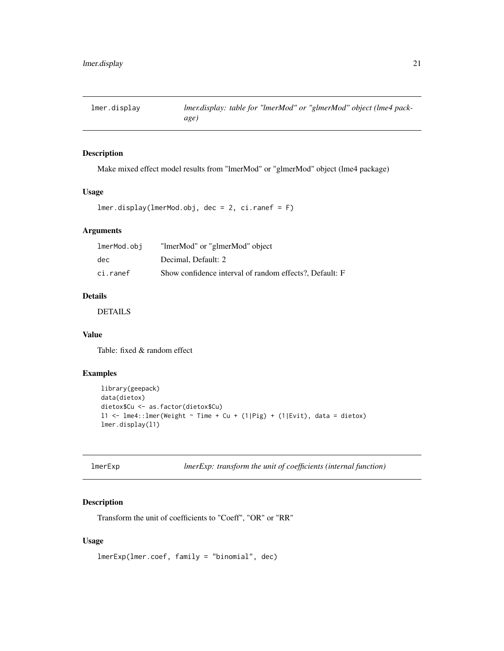<span id="page-20-0"></span>

Make mixed effect model results from "lmerMod" or "glmerMod" object (lme4 package)

#### Usage

```
lmer.display(lmerMod.obj, dec = 2, ci.ranef = F)
```
## Arguments

| lmerMod.obj | "ImerMod" or "glmerMod" object                          |
|-------------|---------------------------------------------------------|
| dec         | Decimal, Default: 2                                     |
| ci.ranef    | Show confidence interval of random effects?, Default: F |

## Details

DETAILS

## Value

Table: fixed & random effect

# Examples

```
library(geepack)
data(dietox)
dietox$Cu <- as.factor(dietox$Cu)
11 <- 1me4::1mer(Weight ~ Time + Cu + (1|Pig) + (1|Evit), data = dietox)
lmer.display(l1)
```

| Imer∟xp |  |
|---------|--|
|---------|--|

lmerExp *lmerExp: transform the unit of coefficients (internal function)*

#### Description

Transform the unit of coefficients to "Coeff", "OR" or "RR"

## Usage

lmerExp(lmer.coef, family = "binomial", dec)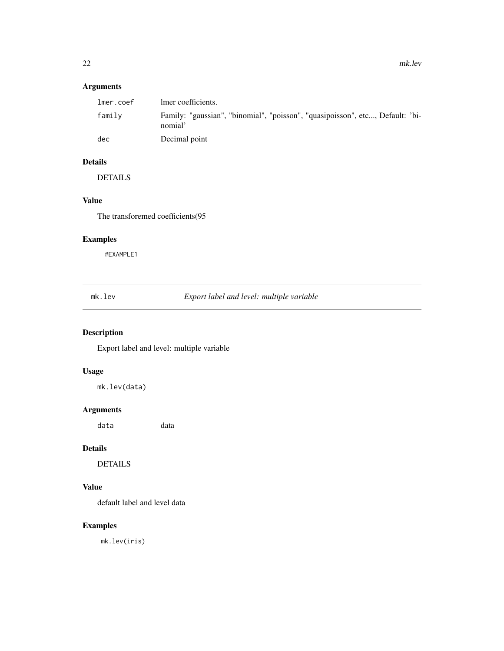# <span id="page-21-0"></span>Arguments

| lmer.coef | lmer coefficients.                                                                       |
|-----------|------------------------------------------------------------------------------------------|
| family    | Family: "gaussian", "binomial", "poisson", "quasipoisson", etc, Default: 'bi-<br>nomial' |
| dec       | Decimal point                                                                            |

# Details

DETAILS

# Value

The transforemed coefficients(95

# Examples

#EXAMPLE1

mk.lev *Export label and level: multiple variable*

## Description

Export label and level: multiple variable

# Usage

mk.lev(data)

## Arguments

data data

# Details

DETAILS

# Value

default label and level data

# Examples

mk.lev(iris)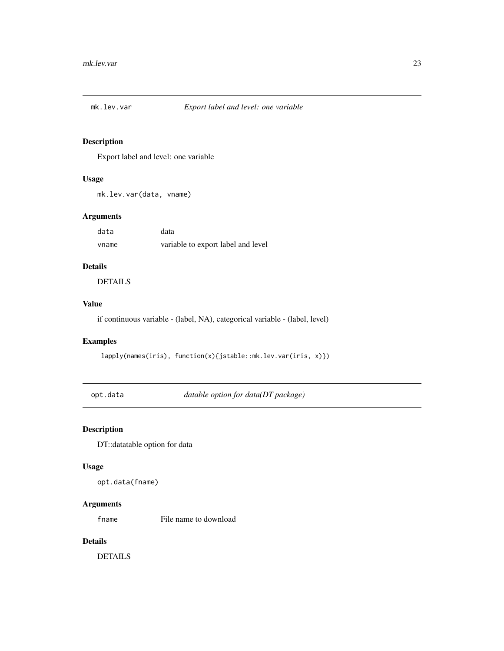<span id="page-22-0"></span>

Export label and level: one variable

## Usage

mk.lev.var(data, vname)

## Arguments

| data  | data                               |
|-------|------------------------------------|
| vname | variable to export label and level |

# Details

DETAILS

# Value

if continuous variable - (label, NA), categorical variable - (label, level)

## Examples

lapply(names(iris), function(x){jstable::mk.lev.var(iris, x)})

opt.data *datable option for data(DT package)*

# Description

DT::datatable option for data

#### Usage

opt.data(fname)

## Arguments

fname File name to download

## Details

DETAILS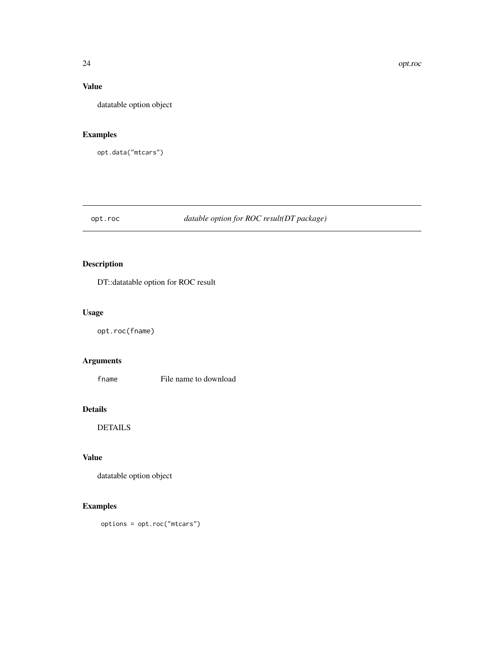## <span id="page-23-0"></span>Value

datatable option object

## Examples

opt.data("mtcars")

# opt.roc *datable option for ROC result(DT package)*

# Description

DT::datatable option for ROC result

# Usage

opt.roc(fname)

## Arguments

fname File name to download

## Details

DETAILS

# Value

datatable option object

## Examples

options = opt.roc("mtcars")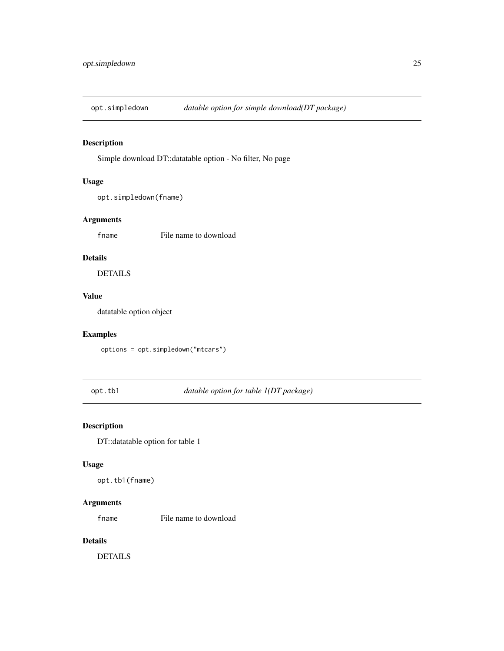<span id="page-24-0"></span>

Simple download DT::datatable option - No filter, No page

## Usage

```
opt.simpledown(fname)
```
## Arguments

fname File name to download

## Details

DETAILS

# Value

datatable option object

# Examples

options = opt.simpledown("mtcars")

opt.tb1 *datable option for table 1(DT package)*

# Description

DT::datatable option for table 1

#### Usage

opt.tb1(fname)

## Arguments

fname File name to download

## Details

DETAILS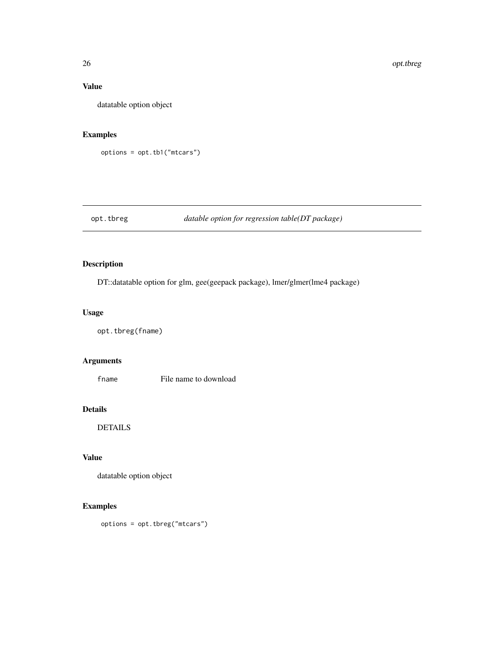## Value

datatable option object

## Examples

options = opt.tb1("mtcars")

# opt.tbreg *datable option for regression table(DT package)*

# Description

DT::datatable option for glm, gee(geepack package), lmer/glmer(lme4 package)

## Usage

opt.tbreg(fname)

## Arguments

fname File name to download

## Details

DETAILS

# Value

datatable option object

## Examples

options = opt.tbreg("mtcars")

<span id="page-25-0"></span>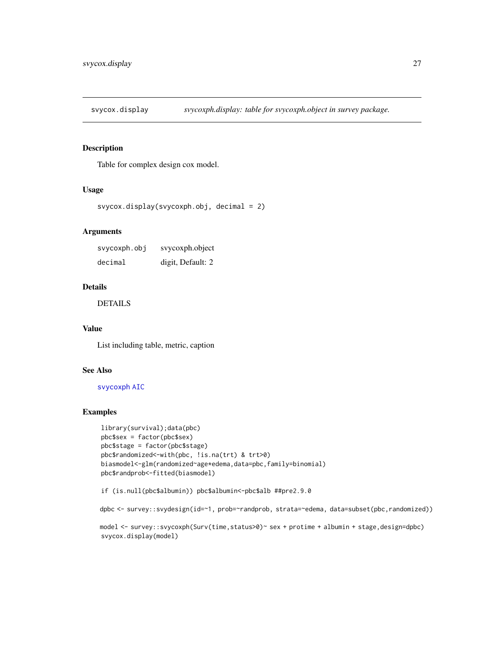<span id="page-26-0"></span>

Table for complex design cox model.

## Usage

```
svycox.display(svycoxph.obj, decimal = 2)
```
## Arguments

svycoxph.obj svycoxph.object decimal digit, Default: 2

#### Details

DETAILS

#### Value

List including table, metric, caption

#### See Also

#### [svycoxph](#page-0-0) [AIC](#page-0-0)

```
library(survival);data(pbc)
pbc$sex = factor(pbc$sex)
pbc$stage = factor(pbc$stage)
pbc$randomized<-with(pbc, !is.na(trt) & trt>0)
biasmodel<-glm(randomized~age*edema,data=pbc,family=binomial)
pbc$randprob<-fitted(biasmodel)
```

```
if (is.null(pbc$albumin)) pbc$albumin<-pbc$alb ##pre2.9.0
```

```
dpbc <- survey::svydesign(id=~1, prob=~randprob, strata=~edema, data=subset(pbc,randomized))
```

```
model <- survey::svycoxph(Surv(time,status>0)~ sex + protime + albumin + stage,design=dpbc)
svycox.display(model)
```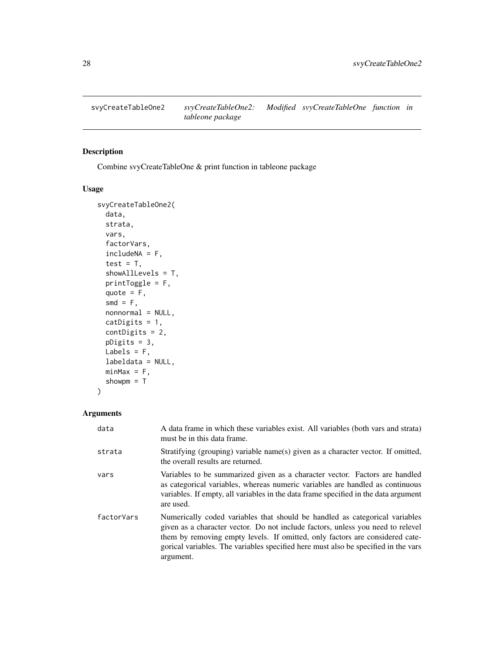<span id="page-27-0"></span>

Combine svyCreateTableOne & print function in tableone package

## Usage

```
svyCreateTableOne2(
  data,
  strata,
  vars,
  factorVars,
  includeNA = F,
  test = T,
  showAllLevels = T,
 printToggle = F,
  quote = F,
  smd = F,
  nonnormal = NULL,
 catDigits = 1,
  contDigits = 2,
 pDigits = 3,
 Labels = F,
  labeldata = NULL,
 minMax = F,
  showpm = T)
```
## Arguments

| data       | A data frame in which these variables exist. All variables (both vars and strata)<br>must be in this data frame.                                                                                                                                                                                                                                  |
|------------|---------------------------------------------------------------------------------------------------------------------------------------------------------------------------------------------------------------------------------------------------------------------------------------------------------------------------------------------------|
| strata     | Stratifying (grouping) variable name(s) given as a character vector. If omitted,<br>the overall results are returned.                                                                                                                                                                                                                             |
| vars       | Variables to be summarized given as a character vector. Factors are handled<br>as categorical variables, whereas numeric variables are handled as continuous<br>variables. If empty, all variables in the data frame specified in the data argument<br>are used.                                                                                  |
| factorVars | Numerically coded variables that should be handled as categorical variables<br>given as a character vector. Do not include factors, unless you need to relevel<br>them by removing empty levels. If omitted, only factors are considered cate-<br>gorical variables. The variables specified here must also be specified in the vars<br>argument. |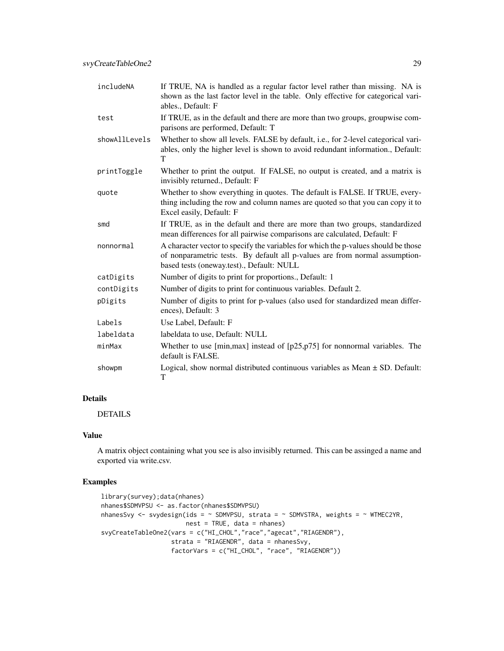| includeNA     | If TRUE, NA is handled as a regular factor level rather than missing. NA is<br>shown as the last factor level in the table. Only effective for categorical vari-<br>ables., Default: F                         |
|---------------|----------------------------------------------------------------------------------------------------------------------------------------------------------------------------------------------------------------|
| test          | If TRUE, as in the default and there are more than two groups, groupwise com-<br>parisons are performed, Default: T                                                                                            |
| showAllLevels | Whether to show all levels. FALSE by default, i.e., for 2-level categorical vari-<br>ables, only the higher level is shown to avoid redundant information., Default:<br>T                                      |
| printToggle   | Whether to print the output. If FALSE, no output is created, and a matrix is<br>invisibly returned., Default: F                                                                                                |
| quote         | Whether to show everything in quotes. The default is FALSE. If TRUE, every-<br>thing including the row and column names are quoted so that you can copy it to<br>Excel easily, Default: F                      |
| smd           | If TRUE, as in the default and there are more than two groups, standardized<br>mean differences for all pairwise comparisons are calculated, Default: F                                                        |
| nonnormal     | A character vector to specify the variables for which the p-values should be those<br>of nonparametric tests. By default all p-values are from normal assumption-<br>based tests (oneway.test)., Default: NULL |
| catDigits     | Number of digits to print for proportions., Default: 1                                                                                                                                                         |
| contDigits    | Number of digits to print for continuous variables. Default 2.                                                                                                                                                 |
| pDigits       | Number of digits to print for p-values (also used for standardized mean differ-<br>ences), Default: 3                                                                                                          |
| Labels        | Use Label, Default: F                                                                                                                                                                                          |
| labeldata     | labeldata to use, Default: NULL                                                                                                                                                                                |
| minMax        | Whether to use [min, max] instead of $[p25, p75]$ for nonnormal variables. The<br>default is FALSE.                                                                                                            |
| showpm        | Logical, show normal distributed continuous variables as Mean $\pm$ SD. Default:<br>T                                                                                                                          |

# Details

DETAILS

## Value

A matrix object containing what you see is also invisibly returned. This can be assinged a name and exported via write.csv.

```
library(survey);data(nhanes)
nhanes$SDMVPSU <- as.factor(nhanes$SDMVPSU)
nhanesSvy <- svydesign(ids = \sim SDMVPSU, strata = \sim SDMVSTRA, weights = \sim WTMEC2YR,
                       nest = TRUE, data = nhanes)
svyCreateTableOne2(vars = c("HI_CHOL","race","agecat","RIAGENDR"),
                   strata = "RIAGENDR", data = nhanesSvy,
                   factorVars = c("HI_CHOL", "race", "RIAGENDR"))
```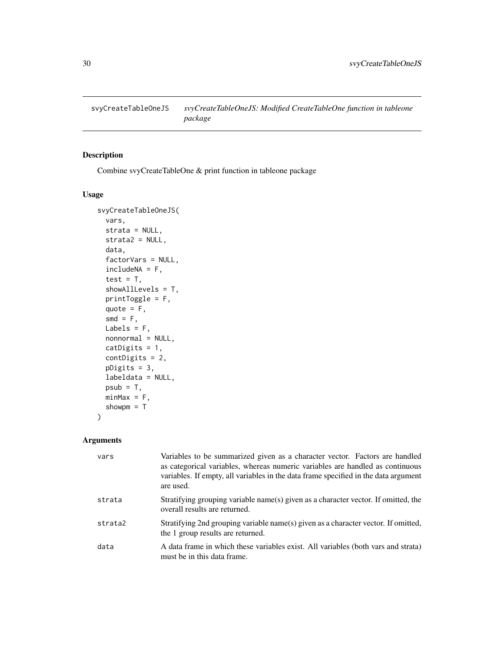<span id="page-29-0"></span>

Combine svyCreateTableOne & print function in tableone package

## Usage

```
svyCreateTableOneJS(
  vars,
  strata = NULL,
  strata2 = NULL,
  data,
  factorVars = NULL,
  includeNA = F,
  test = T,
  showAllLevels = T,
 printToggle = F,
  quote = F,
  smd = F,
 Labels = F,
  nonnormal = NULL,
 catDigits = 1,
  contDigits = 2,
 pDigits = 3,
  labeldata = NULL,
  psub = T,
 minMax = F,
  showpm = T
)
```
## Arguments

| vars    | Variables to be summarized given as a character vector. Factors are handled<br>as categorical variables, whereas numeric variables are handled as continuous<br>variables. If empty, all variables in the data frame specified in the data argument<br>are used. |
|---------|------------------------------------------------------------------------------------------------------------------------------------------------------------------------------------------------------------------------------------------------------------------|
| strata  | Stratifying grouping variable name(s) given as a character vector. If omitted, the<br>overall results are returned.                                                                                                                                              |
| strata2 | Stratifying 2nd grouping variable name(s) given as a character vector. If omitted,<br>the 1 group results are returned.                                                                                                                                          |
| data    | A data frame in which these variables exist. All variables (both vars and strata)<br>must be in this data frame.                                                                                                                                                 |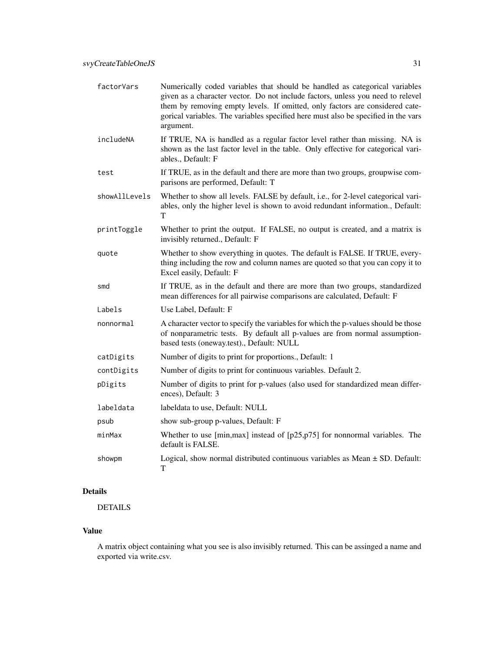| factorVars    | Numerically coded variables that should be handled as categorical variables<br>given as a character vector. Do not include factors, unless you need to relevel<br>them by removing empty levels. If omitted, only factors are considered cate-<br>gorical variables. The variables specified here must also be specified in the vars<br>argument. |
|---------------|---------------------------------------------------------------------------------------------------------------------------------------------------------------------------------------------------------------------------------------------------------------------------------------------------------------------------------------------------|
| includeNA     | If TRUE, NA is handled as a regular factor level rather than missing. NA is<br>shown as the last factor level in the table. Only effective for categorical vari-<br>ables., Default: F                                                                                                                                                            |
| test          | If TRUE, as in the default and there are more than two groups, groupwise com-<br>parisons are performed, Default: T                                                                                                                                                                                                                               |
| showAllLevels | Whether to show all levels. FALSE by default, i.e., for 2-level categorical vari-<br>ables, only the higher level is shown to avoid redundant information., Default:<br>т                                                                                                                                                                         |
| printToggle   | Whether to print the output. If FALSE, no output is created, and a matrix is<br>invisibly returned., Default: F                                                                                                                                                                                                                                   |
| quote         | Whether to show everything in quotes. The default is FALSE. If TRUE, every-<br>thing including the row and column names are quoted so that you can copy it to<br>Excel easily, Default: F                                                                                                                                                         |
| smd           | If TRUE, as in the default and there are more than two groups, standardized<br>mean differences for all pairwise comparisons are calculated, Default: F                                                                                                                                                                                           |
| Labels        | Use Label, Default: F                                                                                                                                                                                                                                                                                                                             |
| nonnormal     | A character vector to specify the variables for which the p-values should be those<br>of nonparametric tests. By default all p-values are from normal assumption-<br>based tests (oneway.test)., Default: NULL                                                                                                                                    |
| catDigits     | Number of digits to print for proportions., Default: 1                                                                                                                                                                                                                                                                                            |
| contDigits    | Number of digits to print for continuous variables. Default 2.                                                                                                                                                                                                                                                                                    |
| pDigits       | Number of digits to print for p-values (also used for standardized mean differ-<br>ences), Default: 3                                                                                                                                                                                                                                             |
| labeldata     | labeldata to use, Default: NULL                                                                                                                                                                                                                                                                                                                   |
| psub          | show sub-group p-values, Default: F                                                                                                                                                                                                                                                                                                               |
| minMax        | Whether to use [min, max] instead of $[p25, p75]$ for nonnormal variables. The<br>default is FALSE.                                                                                                                                                                                                                                               |
| showpm        | Logical, show normal distributed continuous variables as Mean $\pm$ SD. Default:<br>T                                                                                                                                                                                                                                                             |

# Details

# DETAILS

## Value

A matrix object containing what you see is also invisibly returned. This can be assinged a name and exported via write.csv.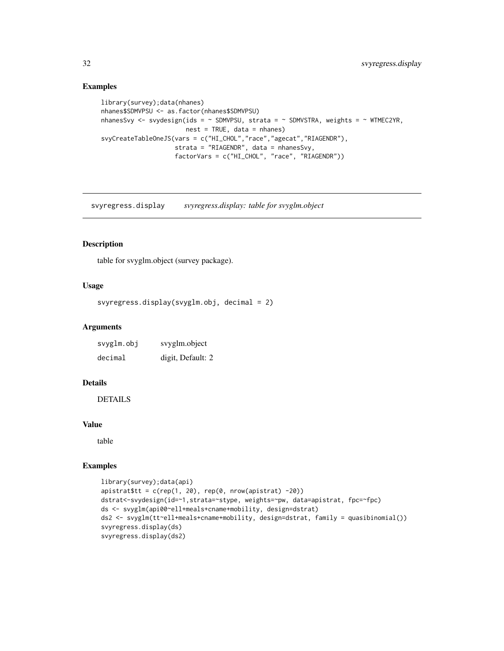## Examples

```
library(survey);data(nhanes)
nhanes$SDMVPSU <- as.factor(nhanes$SDMVPSU)
nhanesSvy <- svydesign(ids = \sim SDMVPSU, strata = \sim SDMVSTRA, weights = \sim WTMEC2YR,
                       nest = TRUE, data = nhanes)
svyCreateTableOneJS(vars = c("HI_CHOL","race","agecat","RIAGENDR"),
                     strata = "RIAGENDR", data = nhanesSvy,
                    factorVars = c("HI_CHOL", "race", "RIAGENDR"))
```
svyregress.display *svyregress.display: table for svyglm.object*

## Description

table for svyglm.object (survey package).

## Usage

```
svyregress.display(svyglm.obj, decimal = 2)
```
#### Arguments

| svyglm.obj | svyglm.object     |
|------------|-------------------|
| decimal    | digit, Default: 2 |

## Details

**DETAILS** 

#### Value

table

```
library(survey);data(api)
apistrat$tt = c(rep(1, 20), rep(0, nrow(apistrat) -20))
dstrat<-svydesign(id=~1,strata=~stype, weights=~pw, data=apistrat, fpc=~fpc)
ds <- svyglm(api00~ell+meals+cname+mobility, design=dstrat)
ds2 <- svyglm(tt~ell+meals+cname+mobility, design=dstrat, family = quasibinomial())
svyregress.display(ds)
svyregress.display(ds2)
```
<span id="page-31-0"></span>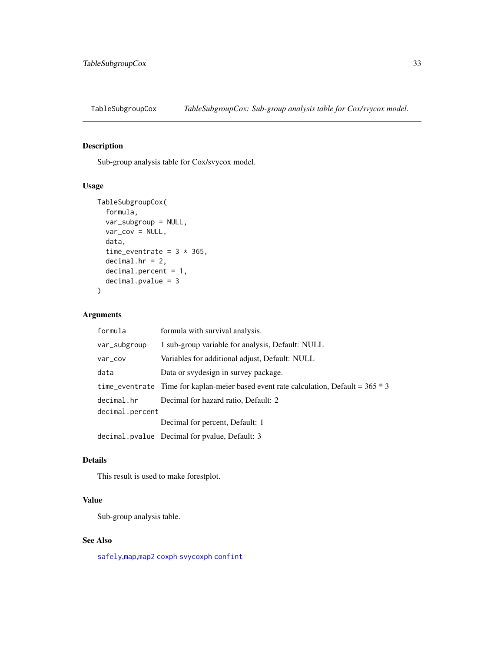<span id="page-32-0"></span>

Sub-group analysis table for Cox/svycox model.

## Usage

```
TableSubgroupCox(
  formula,
  var_subgroup = NULL,
 var_{cov} = NULL,
 data,
  time_eventrate = 3 * 365,
  decimal.hr = 2,decimal.percent = 1,
  decimal.pvalue = 3
)
```
#### Arguments

| formula         | formula with survival analysis.                                                        |  |
|-----------------|----------------------------------------------------------------------------------------|--|
| var_subgroup    | 1 sub-group variable for analysis, Default: NULL                                       |  |
| var_cov         | Variables for additional adjust, Default: NULL                                         |  |
| data            | Data or syydesign in survey package.                                                   |  |
|                 | time_eventrate Time for kaplan-meier based event rate calculation, Default = $365 * 3$ |  |
| decimal.hr      | Decimal for hazard ratio, Default: 2                                                   |  |
| decimal.percent |                                                                                        |  |
|                 | Decimal for percent, Default: 1                                                        |  |
|                 | decimal. pvalue Decimal for pvalue, Default: 3                                         |  |

#### Details

This result is used to make forestplot.

## Value

Sub-group analysis table.

## See Also

[safely](#page-0-0),[map](#page-0-0),[map2](#page-0-0) [coxph](#page-0-0) [svycoxph](#page-0-0) [confint](#page-0-0)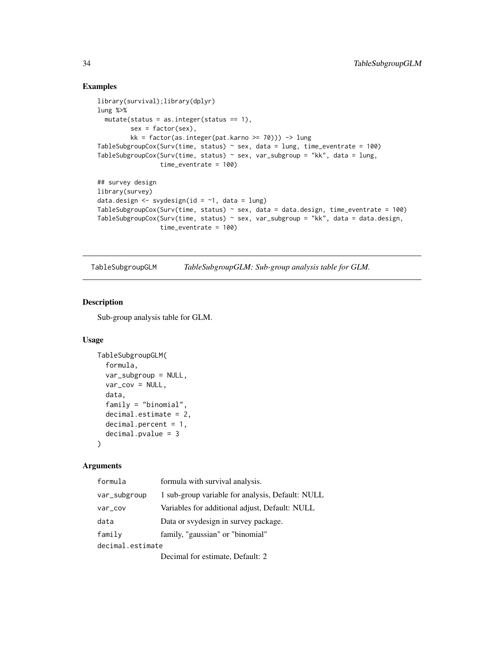#### Examples

```
library(survival);library(dplyr)
lung %>%
  mutate(stats = as.integer(status == 1),sex = factor(sex),
         kk = factor(as.integer(pat.karno >= 70))) -> lung
TableSubgroupCox(Surv(time, status) \sim sex, data = lung, time_eventrate = 100)
TableSubgroupCox(Surv(time, status) \sim sex, var_subgroup = "kk", data = lung,
                 time_eventrate = 100)
## survey design
library(survey)
data.design \leq svydesign(id = \sim1, data = lung)
TableSubgroupCox(Surv(time, status) \sim sex, data = data.design, time_eventrate = 100)
TableSubgroupCox(Surv(time, status) \sim sex, var_subgroup = "kk", data = data.design,
                 time_eventrate = 100)
```
TableSubgroupGLM *TableSubgroupGLM: Sub-group analysis table for GLM.*

#### Description

Sub-group analysis table for GLM.

### Usage

```
TableSubgroupGLM(
  formula,
  var_subgroup = NULL,
  var_cov = NULL,
  data,
  family = "binomial",
  decimal.estimate = 2,
  decimal.percent = 1,
  decimal.pvalue = 3
)
```
#### Arguments

| formula          | formula with survival analysis.                  |
|------------------|--------------------------------------------------|
| var_subgroup     | 1 sub-group variable for analysis, Default: NULL |
| var_cov          | Variables for additional adjust, Default: NULL   |
| data             | Data or svydesign in survey package.             |
| family           | family, "gaussian" or "binomial"                 |
| decimal.estimate |                                                  |
|                  | Dogimal for octimate Datault: 2                  |

Decimal for estimate, Default: 2

<span id="page-33-0"></span>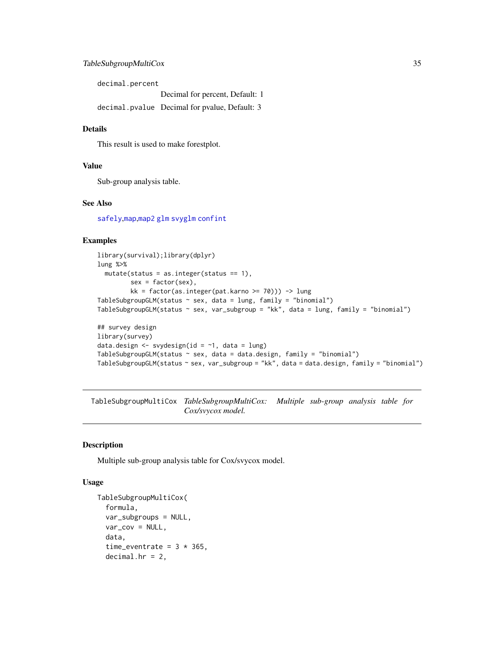## <span id="page-34-0"></span>TableSubgroupMultiCox 35

decimal.percent Decimal for percent, Default: 1 decimal.pvalue Decimal for pvalue, Default: 3

#### Details

This result is used to make forestplot.

#### Value

Sub-group analysis table.

#### See Also

[safely](#page-0-0),[map](#page-0-0),[map2](#page-0-0) [glm](#page-0-0) [svyglm](#page-0-0) [confint](#page-0-0)

## Examples

```
library(survival);library(dplyr)
lung %>%
  mutate(stats = as.integer(status == 1),sex = factor(sex),
         kk = factor(as.integer(pat.karno >= 70))) -> lung
TableSubgroupGLM(status \sim sex, data = lung, family = "binomial")
TableSubgroupGLM(status ~ sex, var_subgroup = "kk", data = lung, family = "binomial")
## survey design
library(survey)
data.design \leq svydesign(id = \sim1, data = lung)
```

```
TableSubgroupGLM(status ~ sex, data = data.design, family = "binomial")
TableSubgroupGLM(status ~ sex, var_subgroup = "kk", data = data.design, family = "binomial")
```
TableSubgroupMultiCox *TableSubgroupMultiCox: Multiple sub-group analysis table for Cox/svycox model.*

#### Description

Multiple sub-group analysis table for Cox/svycox model.

#### Usage

```
TableSubgroupMultiCox(
  formula,
  var_subgroups = NULL,
  var_{cov} = NULL,
  data,
  time_eventrate = 3 * 365,
  decimal.hr = 2,
```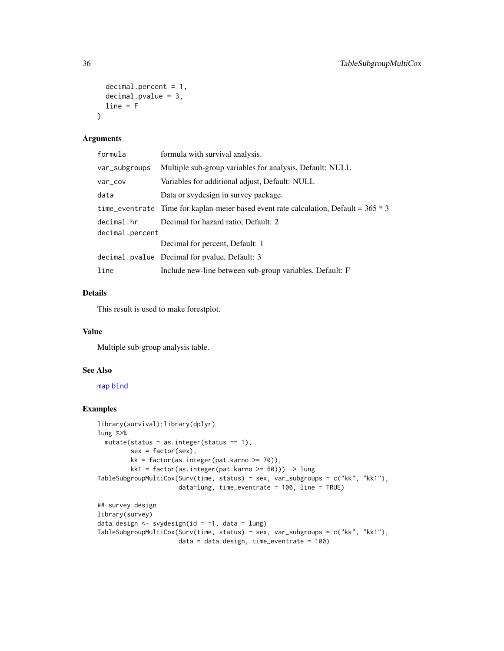```
decimal.percent = 1,
  decimal.pvalue = 3,
  line = F\lambda
```
#### Arguments

| formula         | formula with survival analysis.                                                        |  |
|-----------------|----------------------------------------------------------------------------------------|--|
| var_subgroups   | Multiple sub-group variables for analysis, Default: NULL                               |  |
| var_cov         | Variables for additional adjust, Default: NULL                                         |  |
| data            | Data or svydesign in survey package.                                                   |  |
|                 | time_eventrate Time for kaplan-meier based event rate calculation, Default = $365 * 3$ |  |
| decimal.hr      | Decimal for hazard ratio, Default: 2                                                   |  |
| decimal.percent |                                                                                        |  |
|                 | Decimal for percent, Default: 1                                                        |  |
|                 | decimal.pvalue Decimal for pvalue, Default: 3                                          |  |
| line            | Include new-line between sub-group variables, Default: F                               |  |

## Details

This result is used to make forestplot.

#### Value

Multiple sub-group analysis table.

## See Also

[map](#page-0-0) [bind](#page-0-0)

```
library(survival);library(dplyr)
lung %>%
  mutate(status = as.integer(status == 1),
         sex = factor(sex),
        kk = factor(as.integer(path.karno >= 70)),kk1 = factor(as.integer(pat.karno >= 60))) -> lung
TableSubgroupMultiCox(Surv(time, status) ~ sex, var_subgroups = c("kk", "kk1"),
                     data=lung, time_eventrate = 100, line = TRUE)
## survey design
library(survey)
data.design <- svydesign(id = ~1, data = lung)
TableSubgroupMultiCox(Surv(time, status) ~ sex, var_subgroups = c("kk", "kk1"),
                      data = data.design, time_eventrate = 100)
```
<span id="page-35-0"></span>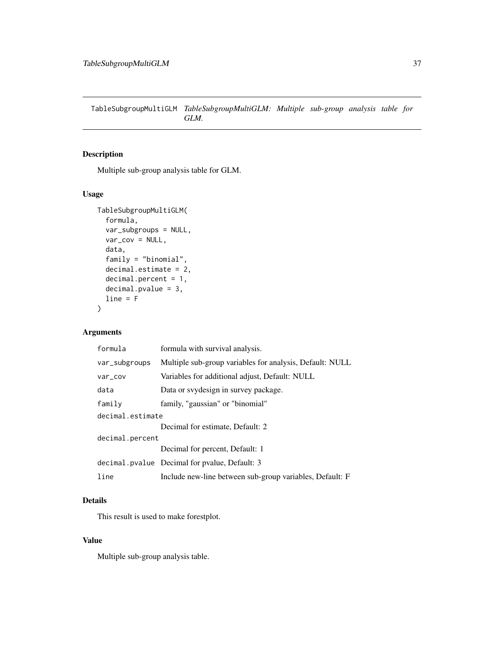<span id="page-36-0"></span>TableSubgroupMultiGLM *TableSubgroupMultiGLM: Multiple sub-group analysis table for GLM.*

## Description

Multiple sub-group analysis table for GLM.

## Usage

```
TableSubgroupMultiGLM(
  formula,
  var_subgroups = NULL,
  var_cov = NULL,
  data,
  family = "binomial",
  decimal.estimate = 2,
  decimal.percent = 1,
  decimal.pvalue = 3,
  line = F
)
```
# Arguments

| formula          | formula with survival analysis.                          |  |
|------------------|----------------------------------------------------------|--|
| var_subgroups    | Multiple sub-group variables for analysis, Default: NULL |  |
| var_cov          | Variables for additional adjust, Default: NULL           |  |
| data             | Data or svydesign in survey package.                     |  |
| family           | family, "gaussian" or "binomial"                         |  |
| decimal.estimate |                                                          |  |
|                  | Decimal for estimate, Default: 2                         |  |
| decimal.percent  |                                                          |  |
|                  | Decimal for percent, Default: 1                          |  |
|                  | decimal.pvalue Decimal for pvalue, Default: 3            |  |
| line             | Include new-line between sub-group variables, Default: F |  |

## Details

This result is used to make forestplot.

## Value

Multiple sub-group analysis table.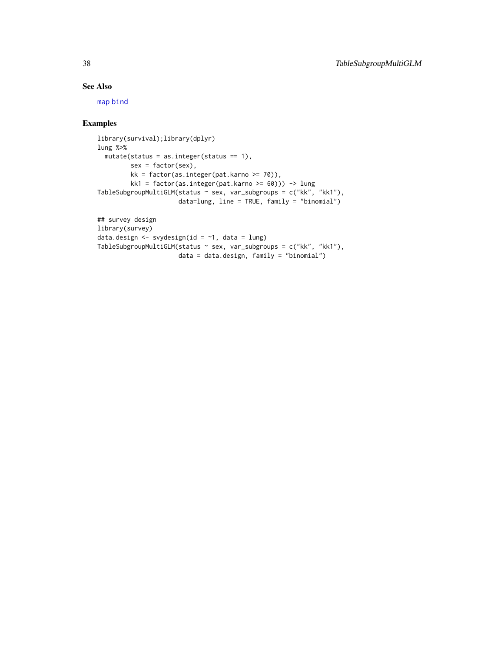# <span id="page-37-0"></span>See Also

[map](#page-0-0) [bind](#page-0-0)

```
library(survival);library(dplyr)
lung %>%
 mutate(status = as.integer(status == 1),
        sex = factor(sex),
        kk = factor(as.integer(pat.karno >= 70)),
        kk1 = factor(as.integer(pat.karno >= 60))) -> lung
TableSubgroupMultiGLM(status \sim sex, var_subgroups = c("kk", "kk1"),
                     data=lung, line = TRUE, family = "binomial")
```

```
## survey design
library(survey)
data.design <- svydesign(id = ~1, data = lung)
TableSubgroupMultiGLM(status ~ sex, var_subgroups = c("kk", "kk1"),
                      data = data.design, family = "binomial")
```